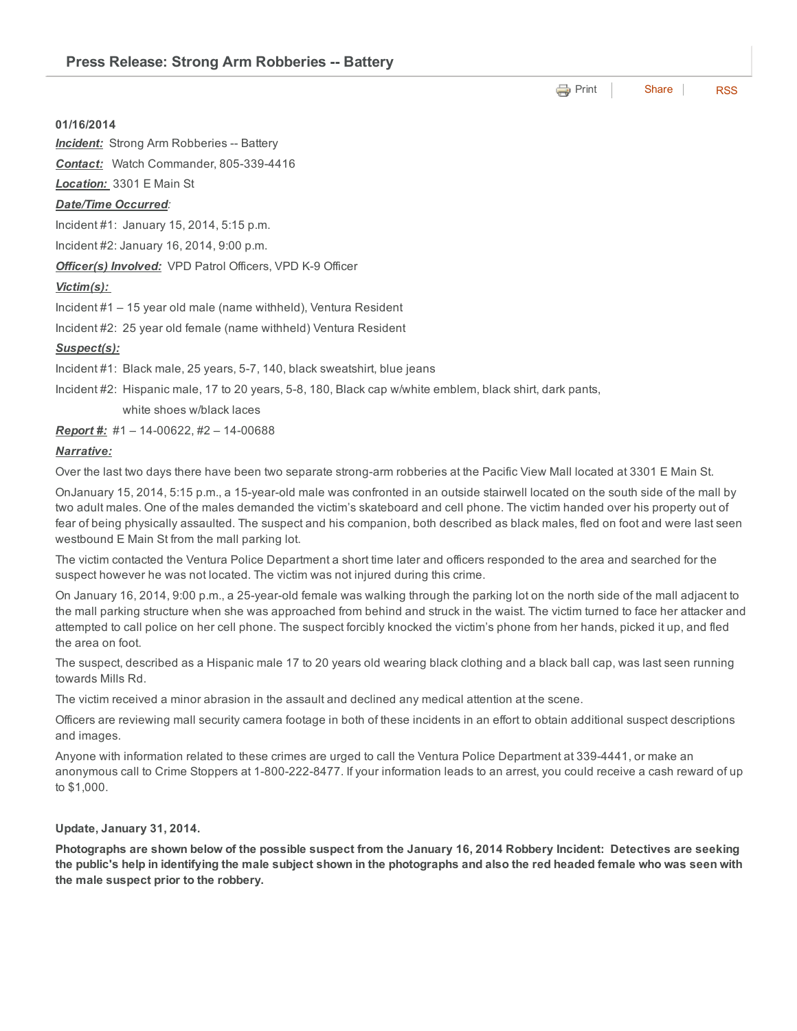**e** [Print](http://www.cityofventura.net/print/15477) | [Share](javascript:void(0)) | [RSS](http://www.cityofventura.net/feed/press_release/rss.xml)

# 01/16/2014

**Incident:** Strong Arm Robberies -- Battery

**Contact:** Watch Commander, 805-339-4416

*Location:* 3301 E Main St

### *Date/Time Occurred:*

Incident #1: January 15, 2014, 5:15 p.m.

Incident #2: January 16, 2014, 9:00 p.m.

**Officer(s) Involved:** VPD Patrol Officers, VPD K-9 Officer

### *Victim(s):*

Incident #1 – 15 year old male (name withheld), Ventura Resident

Incident #2: 25 year old female (name withheld) Ventura Resident

### *Suspect(s):*

Incident #1: Black male, 25 years, 5-7, 140, black sweatshirt, blue jeans

Incident #2: Hispanic male, 17 to 20 years, 5-8, 180, Black cap w/white emblem, black shirt, dark pants,

white shoes w/black laces

*Report* #: #1 - 14-00622, #2 - 14-00688

# *Narrative:*

Over the last two days there have been two separate strong-arm robberies at the Pacific View Mall located at 3301 E Main St.

OnJanuary 15, 2014, 5:15 p.m., a 15-year-old male was confronted in an outside stairwell located on the south side of the mall by two adult males. One of the males demanded the victim's skateboard and cell phone. The victim handed over his property out of fear of being physically assaulted. The suspect and his companion, both described as black males, fled on foot and were last seen westbound E Main St from the mall parking lot.

The victim contacted the Ventura Police Department a short time later and officers responded to the area and searched for the suspect however he was not located. The victim was not injured during this crime.

On January 16, 2014, 9:00 p.m., a 25-year-old female was walking through the parking lot on the north side of the mall adjacent to the mall parking structure when she was approached from behind and struck in the waist. The victim turned to face her attacker and attempted to call police on her cell phone. The suspect forcibly knocked the victim's phone from her hands, picked it up, and fled the area on foot.

The suspect, described as a Hispanic male 17 to 20 years old wearing black clothing and a black ball cap, was last seen running towards Mills Rd.

The victim received a minor abrasion in the assault and declined any medical attention at the scene.

Officers are reviewing mall security camera footage in both of these incidents in an effort to obtain additional suspect descriptions and images.

Anyone with information related to these crimes are urged to call the Ventura Police Department at 3394441, or make an anonymous call to Crime Stoppers at 1-800-222-8477. If your information leads to an arrest, you could receive a cash reward of up to \$1,000.

#### Update, January 31, 2014.

Photographs are shown below of the possible suspect from the January 16, 2014 Robbery Incident: Detectives are seeking the public's help in identifying the male subject shown in the photographs and also the red headed female who was seen with the male suspect prior to the robbery.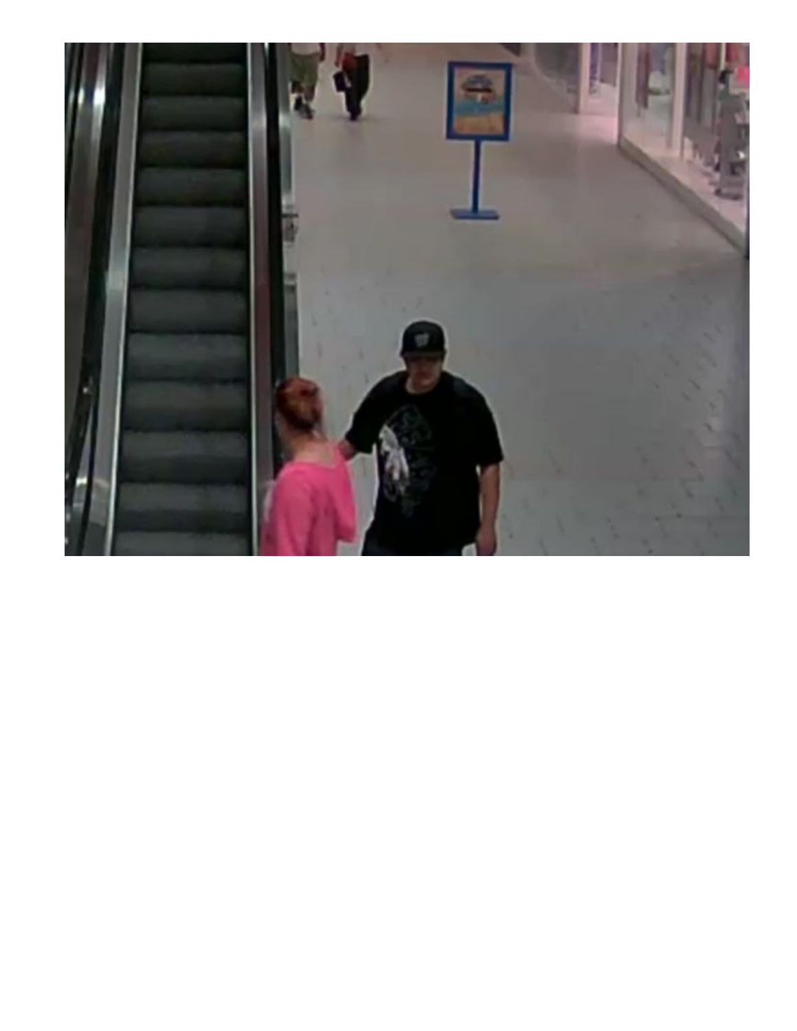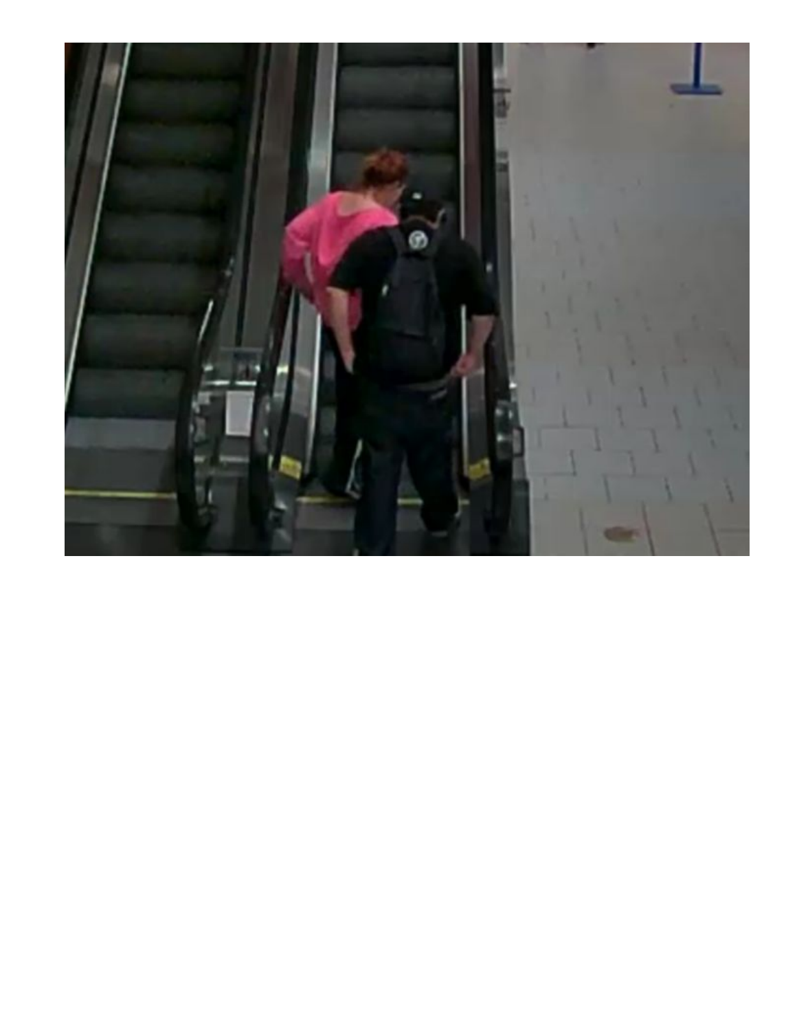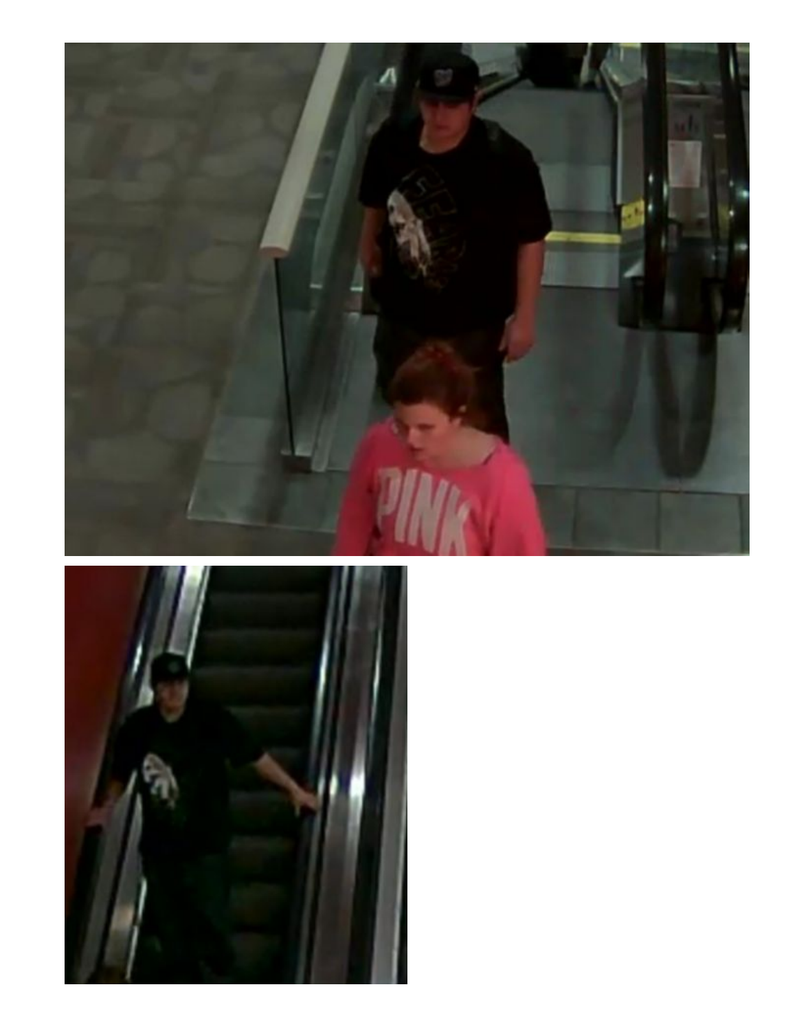